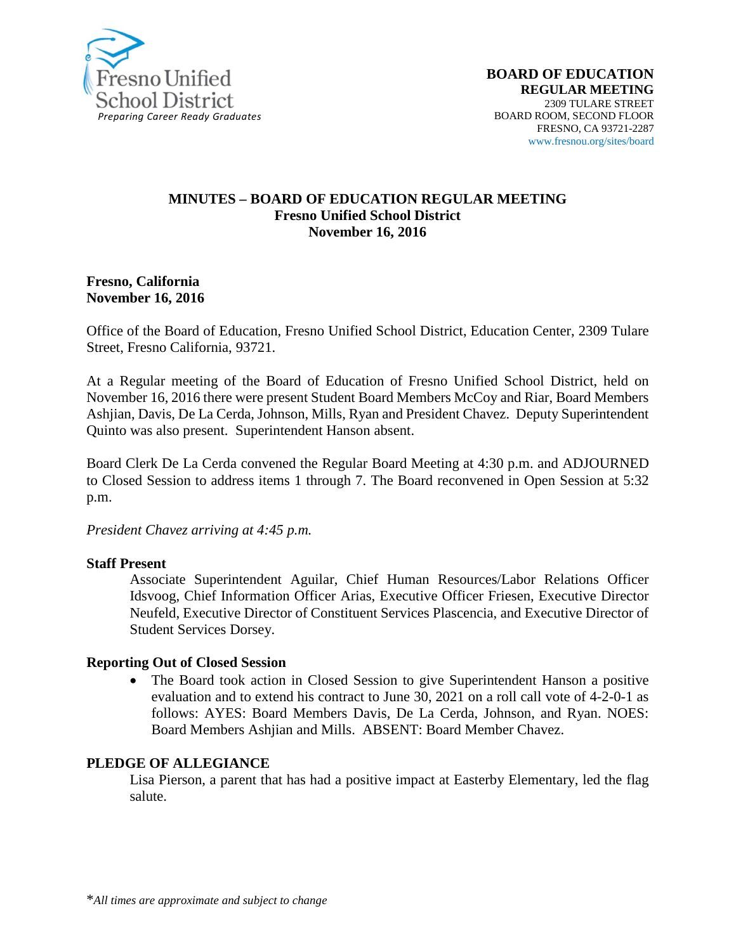

#### **MINUTES – BOARD OF EDUCATION REGULAR MEETING Fresno Unified School District November 16, 2016**

#### **Fresno, California November 16, 2016**

Office of the Board of Education, Fresno Unified School District, Education Center, 2309 Tulare Street, Fresno California, 93721.

At a Regular meeting of the Board of Education of Fresno Unified School District, held on November 16, 2016 there were present Student Board Members McCoy and Riar, Board Members Ashjian, Davis, De La Cerda, Johnson, Mills, Ryan and President Chavez. Deputy Superintendent Quinto was also present. Superintendent Hanson absent.

Board Clerk De La Cerda convened the Regular Board Meeting at 4:30 p.m. and ADJOURNED to Closed Session to address items 1 through 7. The Board reconvened in Open Session at 5:32 p.m.

*President Chavez arriving at 4:45 p.m.*

#### **Staff Present**

Associate Superintendent Aguilar, Chief Human Resources/Labor Relations Officer Idsvoog, Chief Information Officer Arias, Executive Officer Friesen, Executive Director Neufeld, Executive Director of Constituent Services Plascencia, and Executive Director of Student Services Dorsey.

#### **Reporting Out of Closed Session**

• The Board took action in Closed Session to give Superintendent Hanson a positive evaluation and to extend his contract to June 30, 2021 on a roll call vote of 4-2-0-1 as follows: AYES: Board Members Davis, De La Cerda, Johnson, and Ryan. NOES: Board Members Ashjian and Mills. ABSENT: Board Member Chavez.

#### **PLEDGE OF ALLEGIANCE**

Lisa Pierson, a parent that has had a positive impact at Easterby Elementary, led the flag salute.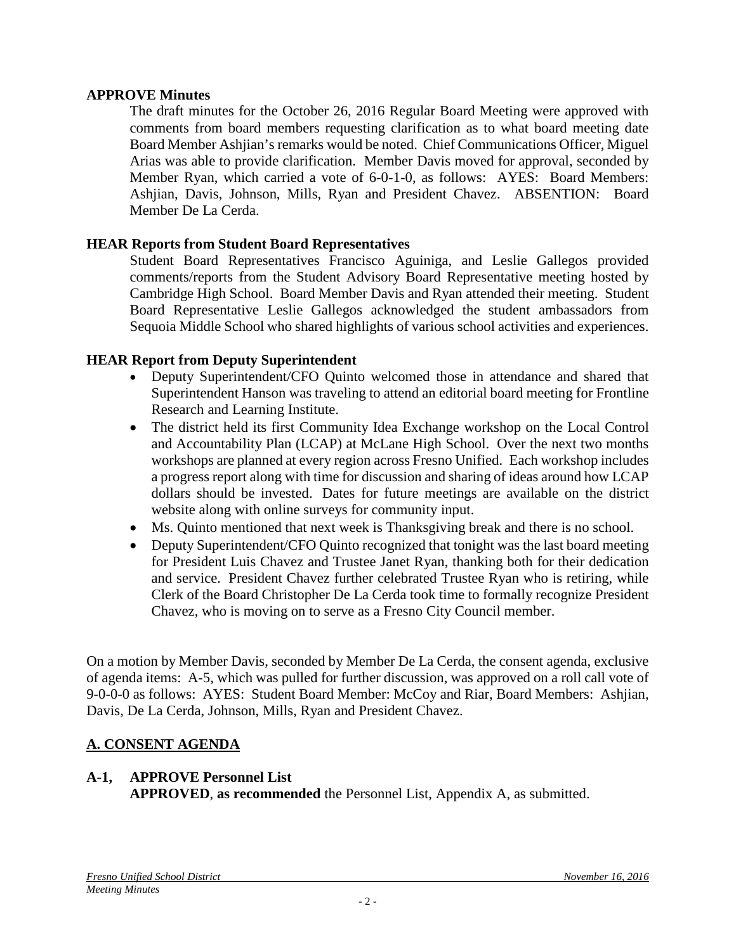### **APPROVE Minutes**

The draft minutes for the October 26, 2016 Regular Board Meeting were approved with comments from board members requesting clarification as to what board meeting date Board Member Ashjian's remarks would be noted. Chief Communications Officer, Miguel Arias was able to provide clarification. Member Davis moved for approval, seconded by Member Ryan, which carried a vote of 6-0-1-0, as follows: AYES: Board Members: Ashjian, Davis, Johnson, Mills, Ryan and President Chavez. ABSENTION: Board Member De La Cerda.

### **HEAR Reports from Student Board Representatives**

Student Board Representatives Francisco Aguiniga, and Leslie Gallegos provided comments/reports from the Student Advisory Board Representative meeting hosted by Cambridge High School. Board Member Davis and Ryan attended their meeting. Student Board Representative Leslie Gallegos acknowledged the student ambassadors from Sequoia Middle School who shared highlights of various school activities and experiences.

### **HEAR Report from Deputy Superintendent**

- Deputy Superintendent/CFO Quinto welcomed those in attendance and shared that Superintendent Hanson was traveling to attend an editorial board meeting for Frontline Research and Learning Institute.
- The district held its first Community Idea Exchange workshop on the Local Control and Accountability Plan (LCAP) at McLane High School. Over the next two months workshops are planned at every region across Fresno Unified. Each workshop includes a progress report along with time for discussion and sharing of ideas around how LCAP dollars should be invested. Dates for future meetings are available on the [district](https://www.fresnounified.org/news/stories/Pages/LCAP-Community-Idea-Exchanges-2017.aspx#.WC0EV7IrK01)  [website](https://www.fresnounified.org/news/stories/Pages/LCAP-Community-Idea-Exchanges-2017.aspx#.WC0EV7IrK01) along with online surveys for community input.
- Ms. Quinto mentioned that next week is Thanksgiving break and there is no school.
- Deputy Superintendent/CFO Quinto recognized that tonight was the last board meeting for President Luis Chavez and Trustee Janet Ryan, thanking both for their dedication and service. President Chavez further celebrated Trustee Ryan who is retiring, while Clerk of the Board Christopher De La Cerda took time to formally recognize President Chavez, who is moving on to serve as a Fresno City Council member.

On a motion by Member Davis, seconded by Member De La Cerda, the consent agenda, exclusive of agenda items: A-5, which was pulled for further discussion, was approved on a roll call vote of 9-0-0-0 as follows: AYES: Student Board Member: McCoy and Riar, Board Members: Ashjian, Davis, De La Cerda, Johnson, Mills, Ryan and President Chavez.

## **A. CONSENT AGENDA**

### **A-1, APPROVE Personnel List**

**APPROVED**, **as recommended** the Personnel List, Appendix A, as submitted.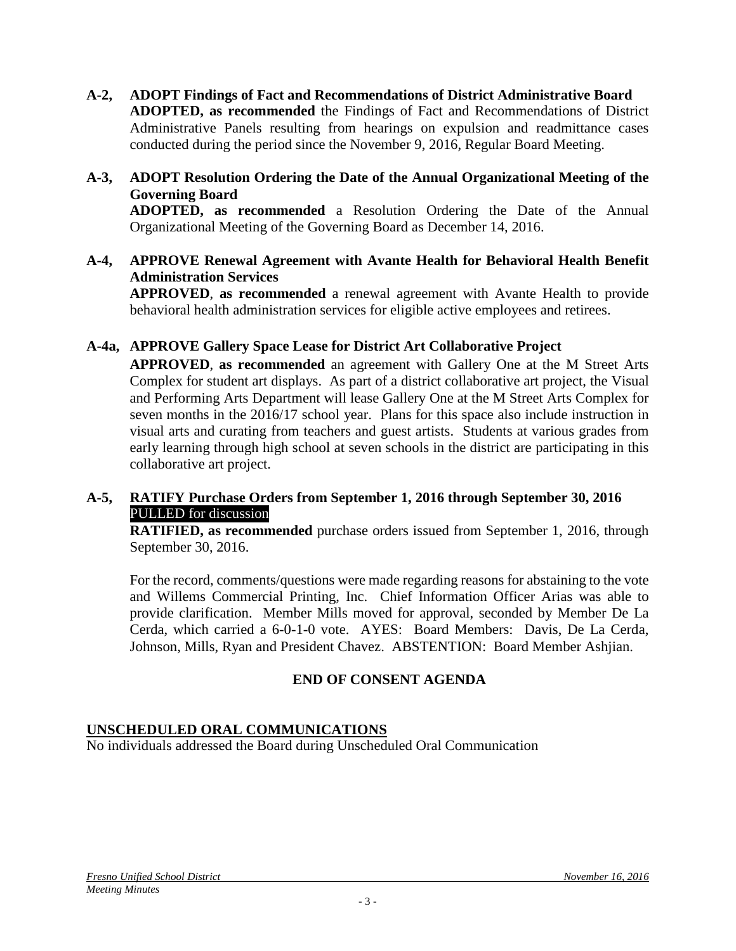- **A-2, ADOPT Findings of Fact and Recommendations of District Administrative Board ADOPTED, as recommended** the Findings of Fact and Recommendations of District Administrative Panels resulting from hearings on expulsion and readmittance cases conducted during the period since the November 9, 2016, Regular Board Meeting.
- **A-3, ADOPT Resolution Ordering the Date of the Annual Organizational Meeting of the Governing Board ADOPTED, as recommended** a Resolution Ordering the Date of the Annual Organizational Meeting of the Governing Board as December 14, 2016.
- **A-4, APPROVE Renewal Agreement with Avante Health for Behavioral Health Benefit Administration Services**

**APPROVED**, **as recommended** a renewal agreement with Avante Health to provide behavioral health administration services for eligible active employees and retirees.

## **A-4a, APPROVE Gallery Space Lease for District Art Collaborative Project**

**APPROVED**, **as recommended** an agreement with Gallery One at the M Street Arts Complex for student art displays. As part of a district collaborative art project, the Visual and Performing Arts Department will lease Gallery One at the M Street Arts Complex for seven months in the 2016/17 school year. Plans for this space also include instruction in visual arts and curating from teachers and guest artists. Students at various grades from early learning through high school at seven schools in the district are participating in this collaborative art project.

### **A-5, RATIFY Purchase Orders from September 1, 2016 through September 30, 2016** PULLED for discussion

**RATIFIED, as recommended** purchase orders issued from September 1, 2016, through September 30, 2016.

For the record, comments/questions were made regarding reasons for abstaining to the vote and Willems Commercial Printing, Inc. Chief Information Officer Arias was able to provide clarification. Member Mills moved for approval, seconded by Member De La Cerda, which carried a 6-0-1-0 vote. AYES: Board Members: Davis, De La Cerda, Johnson, Mills, Ryan and President Chavez. ABSTENTION: Board Member Ashjian.

## **END OF CONSENT AGENDA**

## **UNSCHEDULED ORAL COMMUNICATIONS**

No individuals addressed the Board during Unscheduled Oral Communication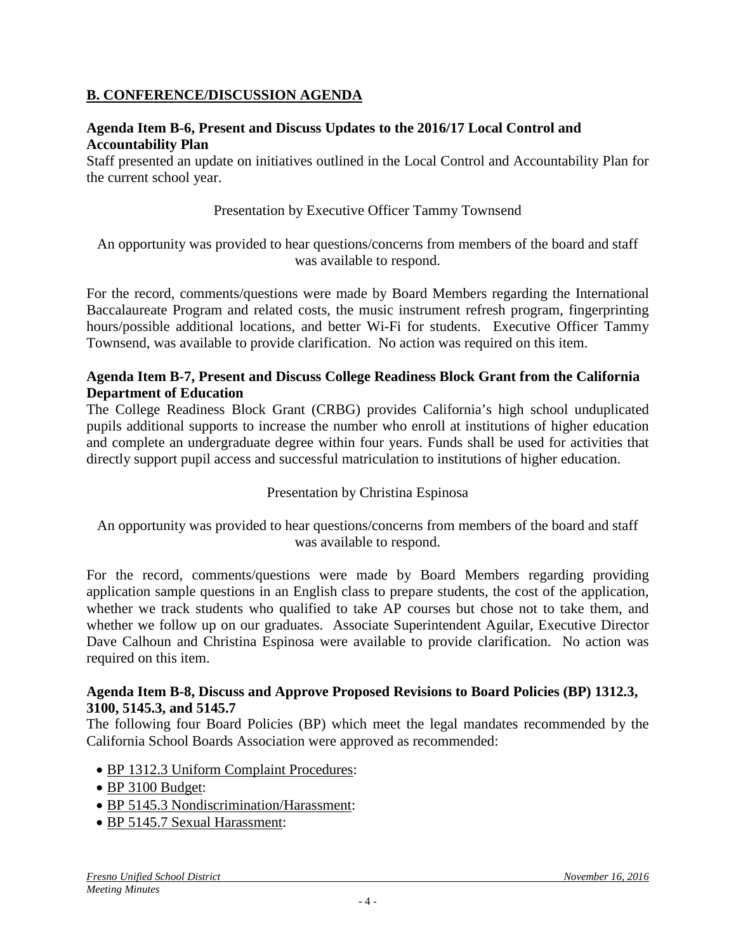### **B. CONFERENCE/DISCUSSION AGENDA**

### **Agenda Item B-6, Present and Discuss Updates to the 2016/17 Local Control and Accountability Plan**

Staff presented an update on initiatives outlined in the Local Control and Accountability Plan for the current school year.

Presentation by Executive Officer Tammy Townsend

An opportunity was provided to hear questions/concerns from members of the board and staff was available to respond.

For the record, comments/questions were made by Board Members regarding the International Baccalaureate Program and related costs, the music instrument refresh program, fingerprinting hours/possible additional locations, and better Wi-Fi for students. Executive Officer Tammy Townsend, was available to provide clarification. No action was required on this item.

### **Agenda Item B-7, Present and Discuss College Readiness Block Grant from the California Department of Education**

The College Readiness Block Grant (CRBG) provides California's high school unduplicated pupils additional supports to increase the number who enroll at institutions of higher education and complete an undergraduate degree within four years. Funds shall be used for activities that directly support pupil access and successful matriculation to institutions of higher education.

### Presentation by Christina Espinosa

An opportunity was provided to hear questions/concerns from members of the board and staff was available to respond.

For the record, comments/questions were made by Board Members regarding providing application sample questions in an English class to prepare students, the cost of the application, whether we track students who qualified to take AP courses but chose not to take them, and whether we follow up on our graduates. Associate Superintendent Aguilar, Executive Director Dave Calhoun and Christina Espinosa were available to provide clarification. No action was required on this item.

#### **Agenda Item B-8, Discuss and Approve Proposed Revisions to Board Policies (BP) 1312.3, 3100, 5145.3, and 5145.7**

The following four Board Policies (BP) which meet the legal mandates recommended by the California School Boards Association were approved as recommended:

- BP 1312.3 Uniform Complaint Procedures:
- BP 3100 Budget:
- BP 5145.3 Nondiscrimination/Harassment:
- BP 5145.7 Sexual Harassment: